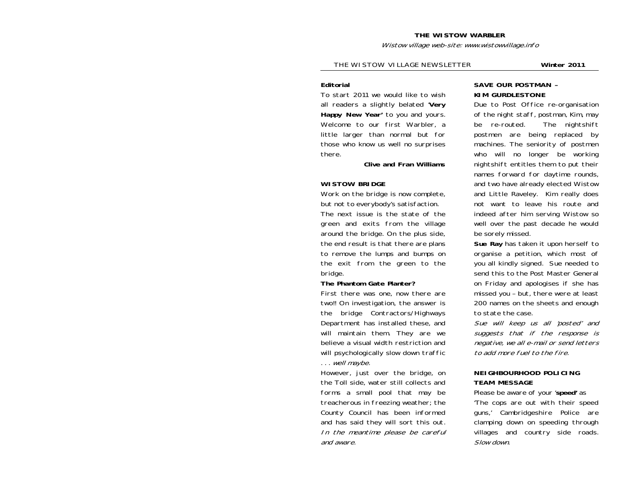#### **THE WISTOW WARBLER**

Wistow village web-site: www.wistowvillage.info

#### THE WISTOW VILLAGE NEWSLETTER **Winter 2011**

#### **Editorial**

To start 2011 we would like to wish all readers a slightly belated '**Very Happy New Year'** to you and yours. Welcome to our first Warbler, a little larger than normal but for those who know us well no surprises there.

 **Clive and Fran Williams** 

## **WISTOW BRIDGE**

Work on the bridge is now complete, but not to everybody's satisfaction.

The next issue is the state of the green and exits from the village around the bridge. On the plus side, the end result is that there are plans to remove the lumps and bumps on the exit from the green to the bridge.

#### **The Phantom Gate Planter?**

First there was one, now there are two!! On investigation, the answer is the bridge Contractors/Highways Department has installed these, and will maintain them. They are we believe a visual width restriction and will psychologically slow down traffic . . . well maybe.

However, just over the bridge, on the Toll side, water still collects and forms a small pool that may be treacherous in freezing weather; the County Council has been informed and has said they will sort this out. In the meantime please be careful and aware.

## **SAVE OUR POSTMAN – KIM GURDLESTONE**

Due to Post Office re-organisation of the night staff, postman, Kim, may be re-routed. The nightshift postmen are being replaced by machines. The seniority of postmen who will no longer be working nightshift entitles them to put their names forward for daytime rounds, and two have already elected Wistow and Little Raveley. Kim really does not want to leave his route and indeed after him serving Wistow so well over the past decade he would be sorely missed.

**Sue Ray** has taken it upon herself to organise a petition, which most of you all kindly signed. Sue needed to send this to the Post Master General on Friday and apologises if she has missed you – but, there were at least 200 names on the sheets and enough to state the case.

Sue will keep us all 'posted' and suggests that if the response is negative, we all e-mail or send letters to add more fuel to the fire.

#### **NEIGHBOURHOOD POLICING TEAM MESSAGE**

Please be aware of your '**speed'** as 'The cops are out with their speed guns,' Cambridgeshire Police are clamping down on speeding through villages and country side roads. Slow down.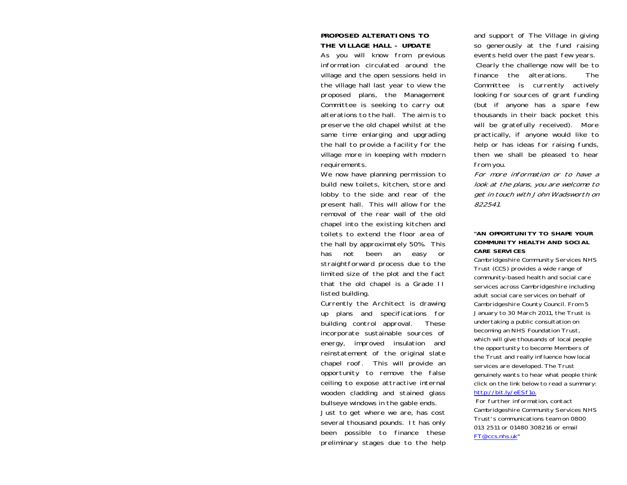## **PROPOSED ALTERATIONS TO THE VILLAGE HALL - UPDATE**

As you will know from previous information circulated around the village and the open sessions held in the village hall last year to view the proposed plans, the Management Committee is seeking to carry out alterations to the hall. The aim is to preserve the old chapel whilst at the same time enlarging and upgrading the hall to provide a facility for the village more in keeping with modern requirements.

We now have planning permission to build new toilets, kitchen, store and lobby to the side and rear of the present hall. This will allow for the removal of the rear wall of the old chapel into the existing kitchen and toilets to extend the floor area of the hall by approximately 50%. This has not been an easy or straightforward process due to the limited size of the plot and the fact that the old chapel is a Grade II listed building.

Currently the Architect is drawing up plans and specifications for building control approval. These incorporate sustainable sources of energy, improved insulation and reinstatement of the original slate chapel roof. This will provide an opportunity to remove the false ceiling to expose attractive internal wooden cladding and stained glass bullseye windows in the gable ends.

Just to get where we are, has cost several thousand pounds. It has only been possible to finance these preliminary stages due to the help and support of The Village in giving so generously at the fund raising events held over the past few years.

 Clearly the challenge now will be to finance the alterations. The Committee is currently actively looking for sources of grant funding (but if anyone has a spare few thousands in their back pocket this will be gratefully received). More practically, if anyone would like to help or has ideas for raising funds, then we shall be pleased to hear from you.

For more information or to have a look at the plans, you are welcome to get in touch with John Wadsworth on 822541.

#### **"AN OPPORTUNITY TO SHAPE YOUR COMMUNITY HEALTH AND SOCIAL CARE SERVICES**

Cambridgeshire Community Services NHS Trust (CCS) provides a wide range of community-based health and social care services across Cambridgeshire including adult social care services on behalf of Cambridgeshire County Council. From 5 January to 30 March 2011, the Trust is undertaking a public consultation on becoming an NHS Foundation Trust, which will give thousands of local people the opportunity to become Members of the Trust and really influence how local services are developed. The Trust genuinely wants to hear what people think click on the link below to read a summary: http://bit.ly/eESf1o.

 For further information, contact Cambridgeshire Community Services NHS Trust's communications team on 0800 013 2511 or 01480 308216 or email FT@ccs.nhs.uk"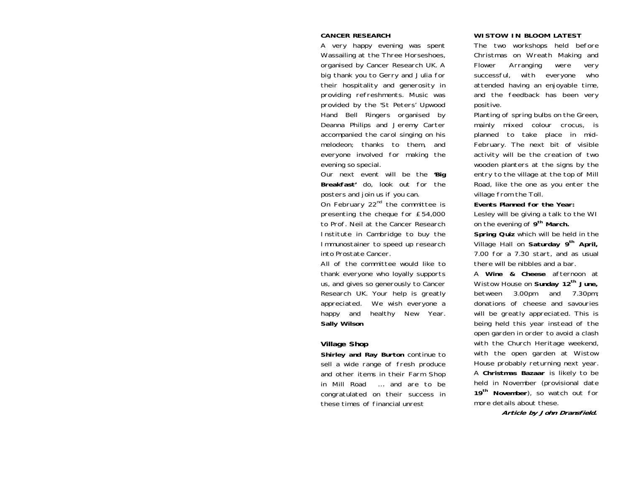#### **CANCER RESEARCH**

A very happy evening was spent Wassailing at the Three Horseshoes, organised by Cancer Research UK. A big thank you to Gerry and Julia for their hospitality and generosity in providing refreshments. Music was provided by the 'St Peters' Upwood Hand Bell Ringers organised by Deanna Philips and Jeremy Carter accompanied the carol singing on his melodeon; thanks to them, and everyone involved for making the evening so special.

Our next event will be the **'Big Breakfast'** do, look out for the posters and join us if you can.

On February  $22<sup>nd</sup>$  the committee is presenting the cheque for £54,000 to Prof. Neil at the Cancer Research Institute in Cambridge to buy the Immunostainer to speed up research into Prostate Cancer.

All of the committee would like to thank everyone who loyally supports us, and gives so generously to Cancer Research UK. Your help is greatly appreciated. We wish everyone a happy and healthy New Year. **Sally Wilson** 

## **Village Shop**

**Shirley and Ray Burton** continue to sell a wide range of fresh produce and other items in their Farm Shop in Mill Road …. and are to be congratulated on their success in these times of financial unrest

#### **WISTOW IN BLOOM LATEST**

The two workshops held before Christmas on Wreath Making and Flower Arranging were very successful, with everyone who attended having an enjoyable time, and the feedback has been very positive.

Planting of spring bulbs on the Green, mainly mixed colour crocus, is planned to take place in mid-February. The next bit of visible activity will be the creation of two wooden planters at the signs by the entry to the village at the top of Mill Road, like the one as you enter the village from the Toll.

**Events Planned for the Year:**

Lesley will be giving a talk to the WI on the evening of **9th March.** 

**Spring Quiz** which will be held in the Village Hall on **Saturday 9th April,** 7.00 for a 7.30 start, and as usual there will be nibbles and a bar.

A **Wine & Cheese** afternoon at Wistow House on **Sunday 12th June,** between 3.00pm and 7.30pm; donations of cheese and savouries will be greatly appreciated. This is being held this year instead of the open garden in order to avoid a clash with the Church Heritage weekend, with the open garden at Wistow House probably returning next year. A **Christmas Bazaar** is likely to be held in November (provisional date **<sup>19</sup>th November**), so watch out for more details about these.

 **Article by John Dransfield.**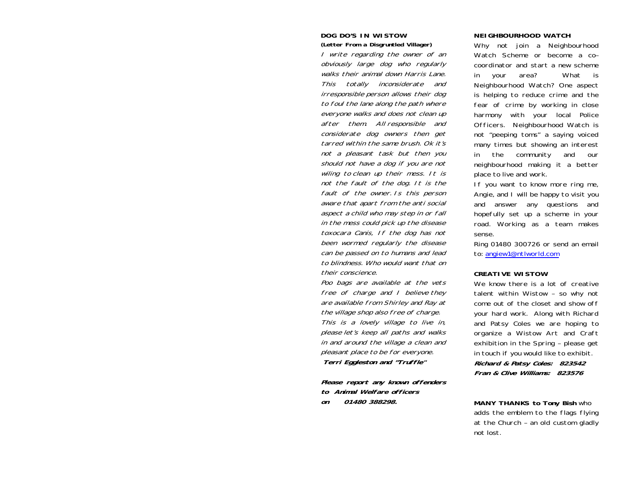## **DOG DO'S IN WISTOW (Letter From a Disgruntled Villager)**

I write regarding the owner of an obviously large dog who regularly walks their animal down Harris Lane. This totally inconsiderate and irresponsible person allows their dog to foul the lane along the path where everyone walks and does not clean up after them. All responsible and considerate dog owners then get tarred within the same brush. Ok it's not a pleasant task but then you should not have a dog if you are not wiling to clean up their mess. It is not the fault of the dog. It is the fault of the owner. Is this person aware that apart from the anti social aspect a child who may step in or fall in the mess could pick up the disease toxocara Canis, If the dog has not been wormed regularly the disease can be passed on to humans and lead to blindness. Who would want that on their conscience.

Poo bags are available at the vets free of charge and I believe they are available from Shirley and Ray at the village shop also free of charge. This is a lovely village to live in, please let's keep all paths and walks in and around the village a clean and pleasant place to be for everyone. **Terri Eggleston and "Truffle"** 

**Please report any known offenders to Animal Welfare officers on 01480 388298.** 

#### **NEIGHBOURHOOD WATCH**

Why not join a Neighbourhood Watch Scheme or become a co– coordinator and start a new scheme in your area? What is Neighbourhood Watch? One aspect is helping to reduce crime and the fear of crime by working in close harmony with your local Police Officers. Neighbourhood Watch is not "peeping toms" a saying voiced many times but showing an interest in the community and our neighbourhood making it a better place to live and work.

If you want to know more ring me, Angie, and I will be happy to visit you and answer any questions and hopefully set up a scheme in your road. Working as a team makes sense.

Ring 01480 300726 or send an email to: angiew1@ntlworld.com

#### **CREATIVE WISTOW**

We know there is a lot of creative talent within Wistow – so why not come out of the closet and show off your hard work. Along with Richard and Patsy Coles we are hoping to organize a Wistow Art and Craft exhibition in the Spring – please get in touch if you would like to exhibit. **Richard & Patsy Coles: 823542 Fran & Clive Williams: 823576** 

**MANY THANKS to Tony Bish** who adds the emblem to the flags flying at the Church – an old custom gladly not lost.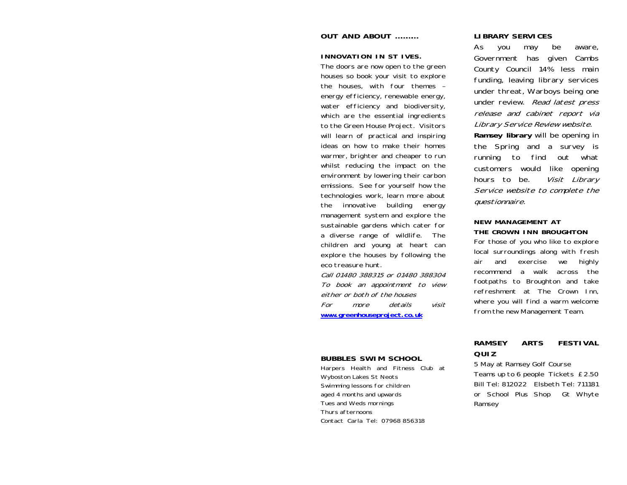## **OUT AND ABOUT …………**

### **INNOVATION IN ST IVES.**

The doors are now open to the green houses so book your visit to explore the houses, with four themes – energy efficiency, renewable energy, water efficiency and biodiversity, which are the essential ingredients to the Green House Project. Visitors will learn of practical and inspiring ideas on how to make their homes warmer, brighter and cheaper to run whilst reducing the impact on the environment by lowering their carbon emissions. See for yourself how the technologies work, learn more about the innovative building energy management system and explore the sustainable gardens which cater for a diverse range of wildlife. The children and young at heart can explore the houses by following the eco treasure hunt.

Call 01480 388315 or 01480 388304 To book an appointment to view either or both of the houses For more details visit**www.greenhouseproject.co.uk**

## **BUBBLES SWIM SCHOOL**

Harpers Health and Fitness Club at Wyboston Lakes St Neots Swimming lessons for children aged 4 months and upwards Tues and Weds mornings Thurs afternoons Contact Carla Tel: 07968 856318

## **LIBRARY SERVICES**

As you may be aware, Government has given Cambs County Council 14% less main funding, leaving library services under threat, Warboys being one under review. Read latest press release and cabinet report via Library Service Review website. **Ramsey library** will be opening in the Spring and a survey is running to find out what customers would like opening hours to be. *Visit Library* 

Service website to complete the questionnaire.

### **NEW MANAGEMENT AT THE CROWN INN BROUGHTON**

For those of you who like to explore local surroundings along with fresh air and exercise we highly recommend a walk across the footpaths to Broughton and take refreshment at The Crown Inn, where you will find a warm welcome from the new Management Team.

# **RAMSEY ARTS FESTIVAL QUIZ**

5 May at Ramsey Golf Course Teams up to 6 people Tickets £2.50 Bill Tel: 812022 Elsbeth Tel: 711181 or School Plus Shop Gt Whyte Ramsey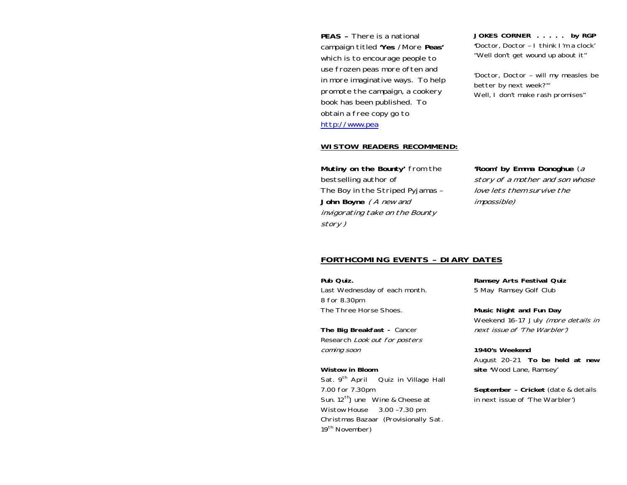**PEAS –** There is a national campaign titled **'Yes** /More **Peas'** which is to encourage people to use frozen peas more often and in more imaginative ways. To help promote the campaign, a cookery book has been published. To obtain a free copy go to http://www.pea

**JOKES CORNER . . . . . by RGP '**Doctor, Doctor – I think I'm a clock' "Well don't get wound up about it"

'Doctor, Doctor – will my measles be better by next week?'" Well, I don't make rash promises"

## **WISTOW READERS RECOMMEND:**

**Mutiny on the Bounty'** from the bestselling author of The Boy in the Striped Pyjamas – **John Boyne** ( A new and invigorating take on the Bounty story )

**'Room' by Emma Donoghue** (a story of a mother and son whose love lets them survive the impossible)

# **FORTHCOMING EVENTS – DIARY DATES**

**Pub Quiz.** Last Wednesday of each month. 8 for 8.30pm The Three Horse Shoes.

**The Big Breakfast -** Cancer Research Look out for posters coming soon

**Wistow in Bloom** Sat. 9<sup>th</sup> April Quiz in Village Hall 7.00 for 7.30pm Sun. 12<sup>th</sup> June Wine & Cheese at Wistow House 3.00 –7.30 pm Christmas Bazaar (Provisionally Sat. 19<sup>th</sup> November)

**Ramsey Arts Festival Quiz**  5 May Ramsey Golf Club

**Music Night and Fun Day**  Weekend 16-17 July (more details in next issue of 'The Warbler')

**1940's Weekend** August 20-21 **To be held at new site '**Wood Lane, Ramsey'

**September – Cricket** (date & details in next issue of 'The Warbler')